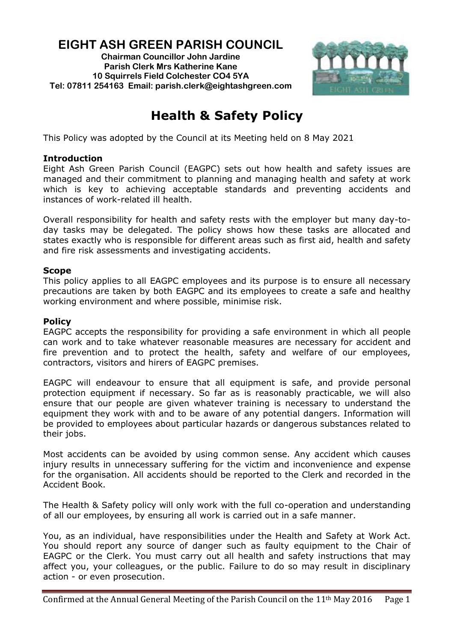# **EIGHT ASH GREEN PARISH COUNCIL**

**Chairman Councillor John Jardine Parish Clerk Mrs Katherine Kane 10 Squirrels Field Colchester CO4 5YA Tel: 07811 254163 Email: parish.clerk@eightashgreen.com**



# **Health & Safety Policy**

This Policy was adopted by the Council at its Meeting held on 8 May 2021

### **Introduction**

Eight Ash Green Parish Council (EAGPC) sets out how health and safety issues are managed and their commitment to planning and managing health and safety at work which is key to achieving acceptable standards and preventing accidents and instances of work-related ill health.

Overall responsibility for health and safety rests with the employer but many day-today tasks may be delegated. The policy shows how these tasks are allocated and states exactly who is responsible for different areas such as first aid, health and safety and fire risk assessments and investigating accidents.

#### **Scope**

This policy applies to all EAGPC employees and its purpose is to ensure all necessary precautions are taken by both EAGPC and its employees to create a safe and healthy working environment and where possible, minimise risk.

#### **Policy**

EAGPC accepts the responsibility for providing a safe environment in which all people can work and to take whatever reasonable measures are necessary for accident and fire prevention and to protect the health, safety and welfare of our employees, contractors, visitors and hirers of EAGPC premises.

EAGPC will endeavour to ensure that all equipment is safe, and provide personal protection equipment if necessary. So far as is reasonably practicable, we will also ensure that our people are given whatever training is necessary to understand the equipment they work with and to be aware of any potential dangers. Information will be provided to employees about particular hazards or dangerous substances related to their jobs.

Most accidents can be avoided by using common sense. Any accident which causes injury results in unnecessary suffering for the victim and inconvenience and expense for the organisation. All accidents should be reported to the Clerk and recorded in the Accident Book.

The Health & Safety policy will only work with the full co-operation and understanding of all our employees, by ensuring all work is carried out in a safe manner.

You, as an individual, have responsibilities under the Health and Safety at Work Act. You should report any source of danger such as faulty equipment to the Chair of EAGPC or the Clerk. You must carry out all health and safety instructions that may affect you, your colleagues, or the public. Failure to do so may result in disciplinary action - or even prosecution.

Confirmed at the Annual General Meeting of the Parish Council on the  $11<sup>th</sup>$  May 2016 Page 1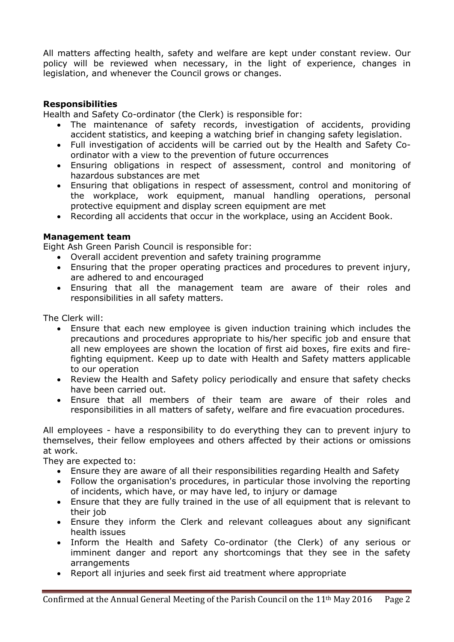All matters affecting health, safety and welfare are kept under constant review. Our policy will be reviewed when necessary, in the light of experience, changes in legislation, and whenever the Council grows or changes.

## **Responsibilities**

Health and Safety Co-ordinator (the Clerk) is responsible for:

- The maintenance of safety records, investigation of accidents, providing accident statistics, and keeping a watching brief in changing safety legislation.
- Full investigation of accidents will be carried out by the Health and Safety Coordinator with a view to the prevention of future occurrences
- Ensuring obligations in respect of assessment, control and monitoring of hazardous substances are met
- Ensuring that obligations in respect of assessment, control and monitoring of the workplace, work equipment, manual handling operations, personal protective equipment and display screen equipment are met
- Recording all accidents that occur in the workplace, using an Accident Book.

#### **Management team**

Eight Ash Green Parish Council is responsible for:

- Overall accident prevention and safety training programme
- Ensuring that the proper operating practices and procedures to prevent injury, are adhered to and encouraged
- Ensuring that all the management team are aware of their roles and responsibilities in all safety matters.

The Clerk will:

- Ensure that each new employee is given induction training which includes the precautions and procedures appropriate to his/her specific job and ensure that all new employees are shown the location of first aid boxes, fire exits and firefighting equipment. Keep up to date with Health and Safety matters applicable to our operation
- Review the Health and Safety policy periodically and ensure that safety checks have been carried out.
- Ensure that all members of their team are aware of their roles and responsibilities in all matters of safety, welfare and fire evacuation procedures.

All employees - have a responsibility to do everything they can to prevent injury to themselves, their fellow employees and others affected by their actions or omissions at work.

They are expected to:

- Ensure they are aware of all their responsibilities regarding Health and Safety
- Follow the organisation's procedures, in particular those involving the reporting of incidents, which have, or may have led, to injury or damage
- Ensure that they are fully trained in the use of all equipment that is relevant to their job
- Ensure they inform the Clerk and relevant colleagues about any significant health issues
- Inform the Health and Safety Co-ordinator (the Clerk) of any serious or imminent danger and report any shortcomings that they see in the safety arrangements
- Report all injuries and seek first aid treatment where appropriate